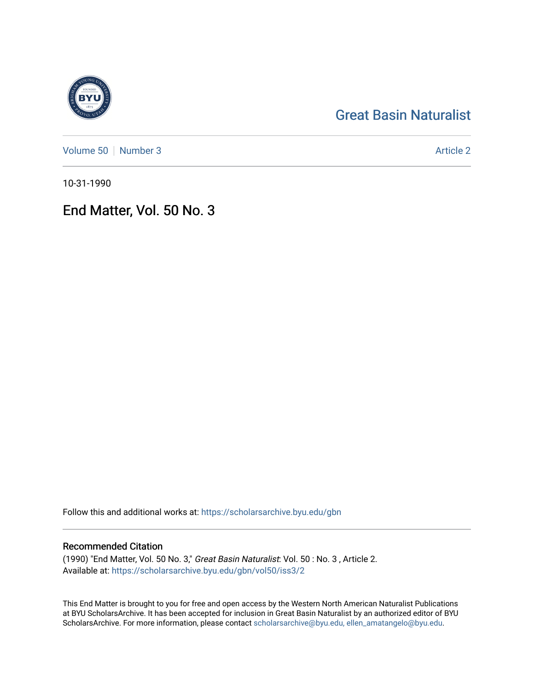# [Great Basin Naturalist](https://scholarsarchive.byu.edu/gbn)

[Volume 50](https://scholarsarchive.byu.edu/gbn/vol50) [Number 3](https://scholarsarchive.byu.edu/gbn/vol50/iss3) Article 2

10-31-1990

## End Matter, Vol. 50 No. 3

Follow this and additional works at: [https://scholarsarchive.byu.edu/gbn](https://scholarsarchive.byu.edu/gbn?utm_source=scholarsarchive.byu.edu%2Fgbn%2Fvol50%2Fiss3%2F2&utm_medium=PDF&utm_campaign=PDFCoverPages) 

### Recommended Citation

(1990) "End Matter, Vol. 50 No. 3," Great Basin Naturalist: Vol. 50 : No. 3 , Article 2. Available at: [https://scholarsarchive.byu.edu/gbn/vol50/iss3/2](https://scholarsarchive.byu.edu/gbn/vol50/iss3/2?utm_source=scholarsarchive.byu.edu%2Fgbn%2Fvol50%2Fiss3%2F2&utm_medium=PDF&utm_campaign=PDFCoverPages)

This End Matter is brought to you for free and open access by the Western North American Naturalist Publications at BYU ScholarsArchive. It has been accepted for inclusion in Great Basin Naturalist by an authorized editor of BYU ScholarsArchive. For more information, please contact [scholarsarchive@byu.edu, ellen\\_amatangelo@byu.edu.](mailto:scholarsarchive@byu.edu,%20ellen_amatangelo@byu.edu)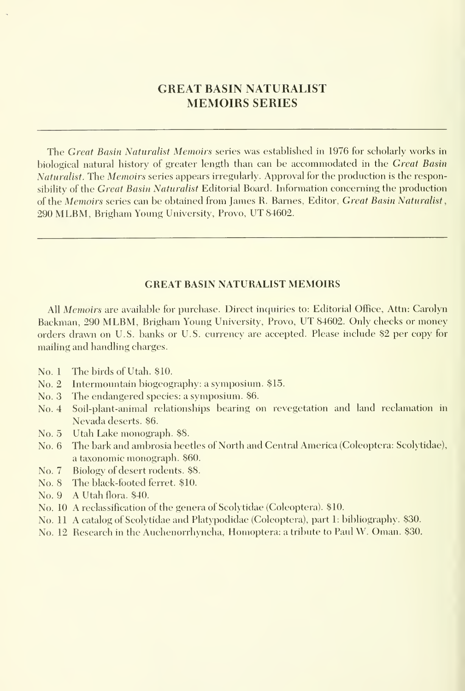## GREAT BASIN NATURALIST MEMOIRS SERIES

The Great Basin Naturalist Memoirs series was established in 1976 for scholarly works in biological natural history of greater length than can be accommodated in the *Great Basin* Naturalist. The Memoirs series appears irregularly. Approval for the production is the responsibility of the Great Basin Naturalist Editorial Board. Information concerning the production of the Memoirs series can be obtained from James R. Barnes, Editor, Great Basin Naturalist, <sup>290</sup> MLBM, Brigham Young University, Provo, UT 84602.

#### GREAT BASIN NATURALIST MEMOIRS

All Memoirs are available for purchase. Direct inquiries to: Editorial Office, Attn: Carolyn Backman, 290 MLBM, Brigham Young University, Provo, UT 84602. Only checks or money orders drawn on U.S. banks or U.S. currency are accepted. Please include \$2 per copy for mailing and handling charges.

- No. <sup>1</sup> The birds of Utah. \$10.
- No. 2 Intermountain biogeography: a symposium. \$15.
- No. 3 The endangered species: a symposium. \$6.
- No. 4 Soil-plant-animal relationships bearing on revegetation and land reclamation in Nevada deserts. \$6.
- No. 5 Utah Lake monograph. \$8.
- No. 6 The bark and ambrosia beetles of North and Central America (Coleoptera: Scolytidae), a taxonomic monograph. \$60.
- No. 7 Biology of desert rodents. \$8.
- No. 8 The black-footed ferret. \$10.
- No. 9 A Utah flora. \$40.
- No. 10 A reclassification of the genera of Scolytidae (Coleoptera). \$10.
- No. <sup>11</sup> A catalog of Scolytidae and Platypodidae (Coleoptera), part 1: bibliography. \$30.
- No. 12 Research in the Auchenorrhyncha, Homoptera: <sup>a</sup> tribute to Paul W. Oman. \$30.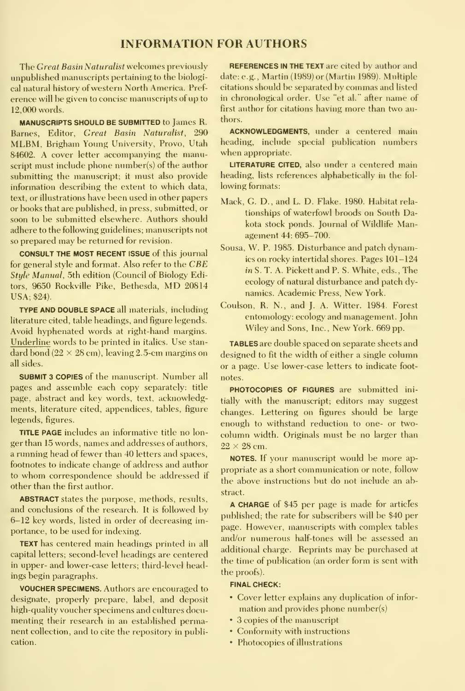#### INFORMATION FOR AUTHORS

The Great Basin Naturalist welcomes previously unpublished manuscripts pertaining to the biological natural history of western North America. Pref erence will be given to concise manuscripts of up to 12,000 words.

MANUSCRIPTS SHOULD BE SUBMITTED to James R. Barnes, Editor, Great Basin Naturalist, 290 MLBM, Brigham Young University, Provo, Utah 84602. A cover letter accompanying the manuscript must include phone number(s) of the author submitting the manuscript; it must also provide information describing the extent to which data, text, or illustrations have been used in other papers or books that are published, in press, submitted, or soon to be submitted elsewhere. Authors should adhere to the following guidelines; manuscripts not so prepared may be returned for revision.

CONSULT THE MOST RECENT ISSUE of this journal for general style and format. Also refer to the CBE Style Manual, 5th edition (Council of Biology Editors, <sup>9650</sup> Rockville Pike, Bethesda, MD <sup>20814</sup> USA; \$24).

TYPE AND DOUBLE SPACE all materials, including literature cited, table headings, and figure legends. Avoid hyphenated words at right-hand margins. Underline words to be printed in italics. Use stan dard bond  $(22 \times 28$  cm), leaving 2.5-cm margins on all sides.

SUBMIT <sup>3</sup> COPIES of the manuscript. Number allpages and assemble each copy separately: title page, abstract and key words, text, acknowledgments, literature cited, appendices, tables, figure legends, figures.

TITLE PAGE includes an informative title no lon ger than 15 words, names and addresses of authors, a running head of fewer than 40 letters and spaces, footnotes to indicate change of address and author to whom correspondence should be addressed if other than the first author.

ABSTRACT states the purpose, methods, results, and conclusions of the research. It is followed by 6-12 key words, listed in order of decreasing importance, to be used for indexing.

TEXT has centered main headings printed in all capital letters; second-level headings are centered in upper- and lower-case letters; third-level headings begin paragraphs.

VOUCHER SPECIMENS. Authors are encouraged to designate, properly prepare, label, and deposit high-quality voucher specimens and cultures docu menting their research in an established permanent collection, and to cite the repository in publication.

REFERENCES IN THE TEXT are cited by author and date: e.g., Martin (1989) or (Martin 1989). Multiple citations should be separated by commas and listed in chronological order. Use "et al." after name of first author for citations having more than two authors.

ACKNOWLEDGMENTS, under a centered main heading, include special publication numbers when appropriate.

LITERATURE CITED, also under a centered main heading, lists references alphabetically in the fol lowing formats:

- Mack, G. D., and L. D. Flake. 1980. Habitat rela tionships of waterfowl broods on South Dakota stock ponds. Journal of Wildlife Management 44: 695-700.
- Sousa, W. P. 1985. Disturbance and patch dynamics on rocky intertidal shores. Pages 101-124 in S. T. A. Pickett and P. S. White, eds. , The ecology of natural disturbance and patch dy namics. Academic Press, New York.
- Coulson, R. N., and J. A. Witter. 1984. Forest entomology: ecology and management. John Wiley and Sons, Inc., New York. 669 pp.

TABLES are double spaced on separate sheets and designed to fit the width of either a single column or a page. Use lower-case letters to indicate foot notes.

PHOTOCOPIES OF FIGURES are submitted initially with the manuscript; editors may suggest changes. Lettering on figures should be large enough to withstand reduction to one- or two column width. Originals must be no larger than  $22 \times 28$  cm.

NOTES. If your manuscript would be more ap propriate as a short communication or note, follow the above instructions but do not include an abstract.

A CHARGE of \$45 per page is made for articles published; the rate for subscribers will be \$40 per page. However, manuscripts with complex tables and/or numerous half-tones will be assessed an additional charge. Reprints may be purchased at the time of publication (an order form is sent with the proofs).

#### FINAL CHECK:

- Cover letter explains any duplication of infor mation and provides phone number(s)
- 3 copies of the manuscript
- Conformity with instructions
- Photocopies of illustrations